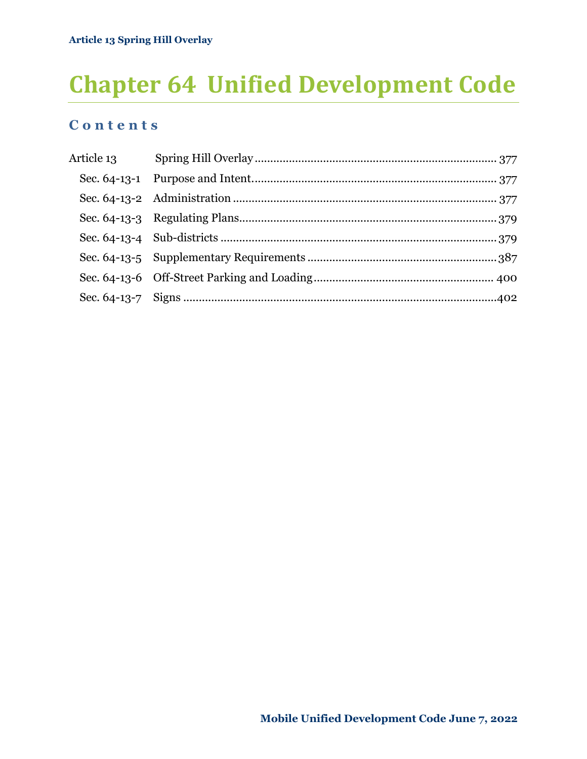# **Chapter 64 Unified Development Code**

# **C o n t e n t s**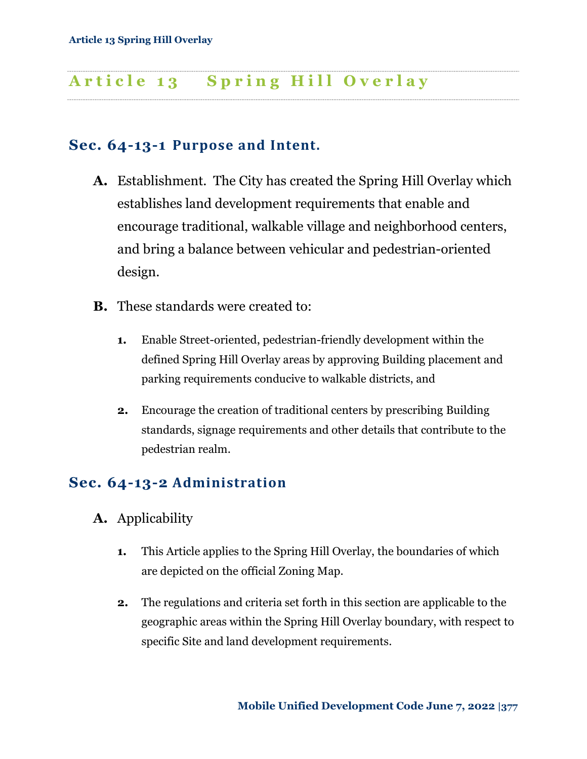### <span id="page-1-1"></span><span id="page-1-0"></span>**Sec. 64-13-1 Purpose and Intent.**

- **A.** Establishment. The City has created the Spring Hill Overlay which establishes land development requirements that enable and encourage traditional, walkable village and neighborhood centers, and bring a balance between vehicular and pedestrian-oriented design.
- **B.** These standards were created to:
	- **1.** Enable Street-oriented, pedestrian-friendly development within the defined Spring Hill Overlay areas by approving Building placement and parking requirements conducive to walkable districts, and
	- **2.** Encourage the creation of traditional centers by prescribing Building standards, signage requirements and other details that contribute to the pedestrian realm.

# <span id="page-1-2"></span>**Sec. 64-13-2 Administration**

- **A.** Applicability
	- **1.** This Article applies to the Spring Hill Overlay, the boundaries of which are depicted on the official Zoning Map.
	- **2.** The regulations and criteria set forth in this section are applicable to the geographic areas within the Spring Hill Overlay boundary, with respect to specific Site and land development requirements.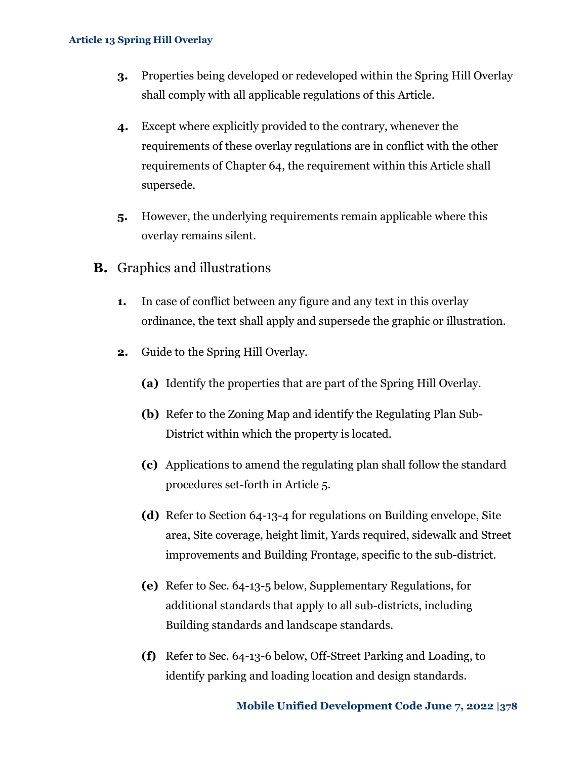- **3.** Properties being developed or redeveloped within the Spring Hill Overlay shall comply with all applicable regulations of this Article.
- **4.** Except where explicitly provided to the contrary, whenever the requirements of these overlay regulations are in conflict with the other requirements of Chapter 64, the requirement within this Article shall supersede.
- **5.** However, the underlying requirements remain applicable where this overlay remains silent.
- **B.** Graphics and illustrations
	- **1.** In case of conflict between any figure and any text in this overlay ordinance, the text shall apply and supersede the graphic or illustration.
	- **2.** Guide to the Spring Hill Overlay.
		- **(a)** Identify the properties that are part of the Spring Hill Overlay.
		- **(b)** Refer to the Zoning Map and identify the Regulating Plan Sub-District within which the property is located.
		- **(c)** Applications to amend the regulating plan shall follow the standard procedures set-forth in Article 5.
		- **(d)** Refer to Section 64-13-4 for regulations on Building envelope, Site area, Site coverage, height limit, Yards required, sidewalk and Street improvements and Building Frontage, specific to the sub-district.
		- **(e)** Refer to [Sec. 64-13-5 below,](#page-11-0) Supplementary Regulations, for additional standards that apply to all sub-districts, including Building standards and landscape standards.
		- **(f)** Refer to [Sec. 64-13-6 below,](#page-24-0) Off-Street Parking and Loading, to identify parking and loading location and design standards.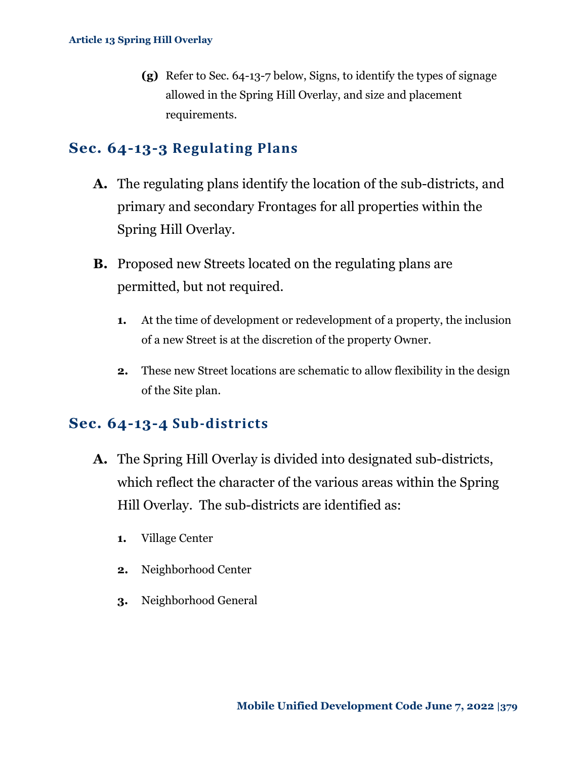**(g)** Refer to [Sec. 64-13-7 below,](#page-26-0) Signs, to identify the types of signage allowed in the Spring Hill Overlay, and size and placement requirements.

### <span id="page-3-0"></span>**Sec. 64-13-3 Regulating Plans**

- **A.** The regulating plans identify the location of the sub-districts, and primary and secondary Frontages for all properties within the Spring Hill Overlay.
- **B.** Proposed new Streets located on the regulating plans are permitted, but not required.
	- **1.** At the time of development or redevelopment of a property, the inclusion of a new Street is at the discretion of the property Owner.
	- **2.** These new Street locations are schematic to allow flexibility in the design of the Site plan.

# <span id="page-3-1"></span>**Sec. 64-13-4 Sub-districts**

- **A.** The Spring Hill Overlay is divided into designated sub-districts, which reflect the character of the various areas within the Spring Hill Overlay. The sub-districts are identified as:
	- **1.** Village Center
	- **2.** Neighborhood Center
	- **3.** Neighborhood General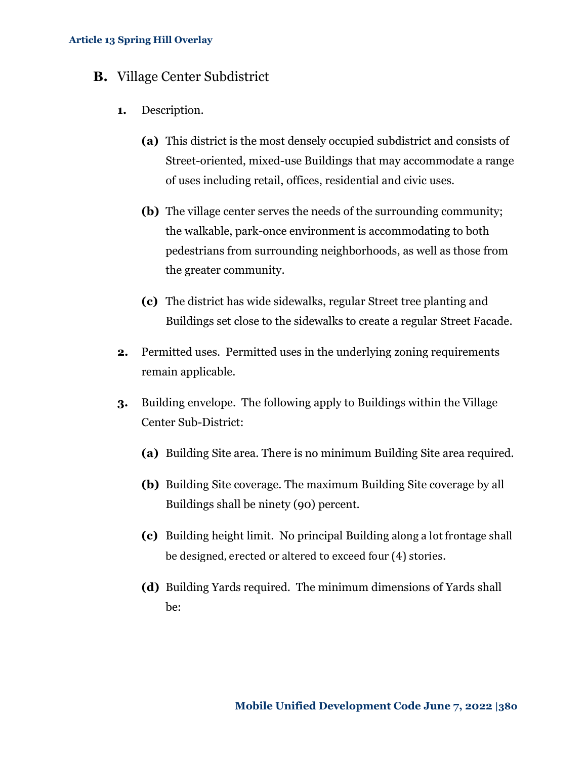- **B.** Village Center Subdistrict
	- **1.** Description.
		- **(a)** This district is the most densely occupied subdistrict and consists of Street-oriented, mixed-use Buildings that may accommodate a range of uses including retail, offices, residential and civic uses.
		- **(b)** The village center serves the needs of the surrounding community; the walkable, park-once environment is accommodating to both pedestrians from surrounding neighborhoods, as well as those from the greater community.
		- **(c)** The district has wide sidewalks, regular Street tree planting and Buildings set close to the sidewalks to create a regular Street Facade.
	- **2.** Permitted uses. Permitted uses in the underlying zoning requirements remain applicable.
	- **3.** Building envelope. The following apply to Buildings within the Village Center Sub-District:
		- **(a)** Building Site area. There is no minimum Building Site area required.
		- **(b)** Building Site coverage. The maximum Building Site coverage by all Buildings shall be ninety (90) percent.
		- **(c)** Building height limit. No principal Building along a lot frontage shall be designed, erected or altered to exceed four (4) stories.
		- **(d)** Building Yards required. The minimum dimensions of Yards shall be: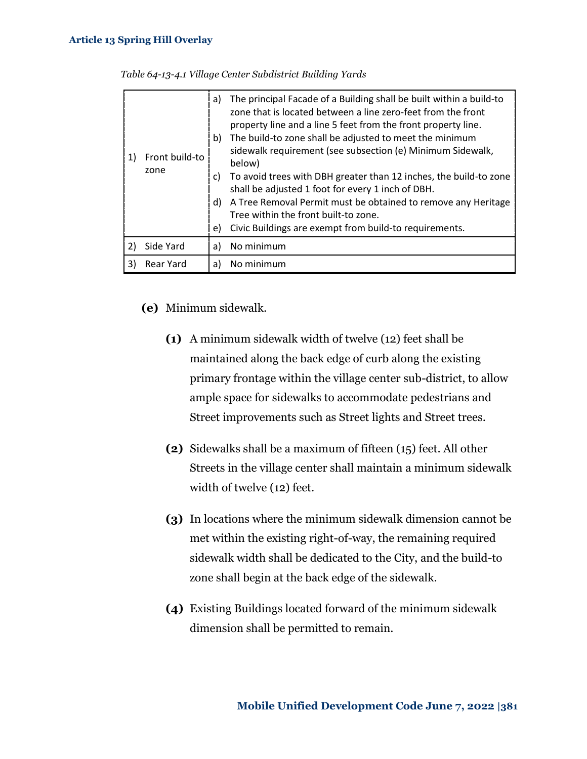|    | Front build-to<br>zone | a)<br>b)<br>C)<br>d)<br>e) | The principal Facade of a Building shall be built within a build-to<br>zone that is located between a line zero-feet from the front<br>property line and a line 5 feet from the front property line.<br>The build-to zone shall be adjusted to meet the minimum<br>sidewalk requirement (see subsection (e) Minimum Sidewalk,<br>below)<br>To avoid trees with DBH greater than 12 inches, the build-to zone<br>shall be adjusted 1 foot for every 1 inch of DBH.<br>A Tree Removal Permit must be obtained to remove any Heritage<br>Tree within the front built-to zone.<br>Civic Buildings are exempt from build-to requirements. |
|----|------------------------|----------------------------|--------------------------------------------------------------------------------------------------------------------------------------------------------------------------------------------------------------------------------------------------------------------------------------------------------------------------------------------------------------------------------------------------------------------------------------------------------------------------------------------------------------------------------------------------------------------------------------------------------------------------------------|
|    | Side Yard              | a)                         | No minimum                                                                                                                                                                                                                                                                                                                                                                                                                                                                                                                                                                                                                           |
| 3) | Rear Yard              | a)                         | No minimum                                                                                                                                                                                                                                                                                                                                                                                                                                                                                                                                                                                                                           |

*Table 64-13-4.1 Village Center Subdistrict Building Yards*

### **(e)** Minimum sidewalk.

- **(1)** A minimum sidewalk width of twelve (12) feet shall be maintained along the back edge of curb along the existing primary frontage within the village center sub-district, to allow ample space for sidewalks to accommodate pedestrians and Street improvements such as Street lights and Street trees.
- **(2)** Sidewalks shall be a maximum of fifteen (15) feet. All other Streets in the village center shall maintain a minimum sidewalk width of twelve (12) feet.
- **(3)** In locations where the minimum sidewalk dimension cannot be met within the existing right-of-way, the remaining required sidewalk width shall be dedicated to the City, and the build-to zone shall begin at the back edge of the sidewalk.
- **(4)** Existing Buildings located forward of the minimum sidewalk dimension shall be permitted to remain.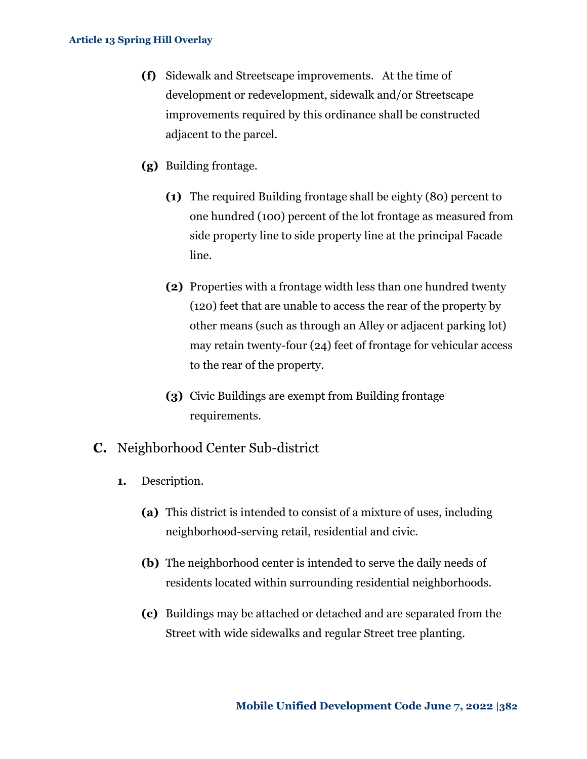- **(f)** Sidewalk and Streetscape improvements. At the time of development or redevelopment, sidewalk and/or Streetscape improvements required by this ordinance shall be constructed adjacent to the parcel.
- **(g)** Building frontage.
	- **(1)** The required Building frontage shall be eighty (80) percent to one hundred (100) percent of the lot frontage as measured from side property line to side property line at the principal Facade line.
	- **(2)** Properties with a frontage width less than one hundred twenty (120) feet that are unable to access the rear of the property by other means (such as through an Alley or adjacent parking lot) may retain twenty-four (24) feet of frontage for vehicular access to the rear of the property.
	- **(3)** Civic Buildings are exempt from Building frontage requirements.
- **C.** Neighborhood Center Sub-district
	- **1.** Description.
		- **(a)** This district is intended to consist of a mixture of uses, including neighborhood-serving retail, residential and civic.
		- **(b)** The neighborhood center is intended to serve the daily needs of residents located within surrounding residential neighborhoods.
		- **(c)** Buildings may be attached or detached and are separated from the Street with wide sidewalks and regular Street tree planting.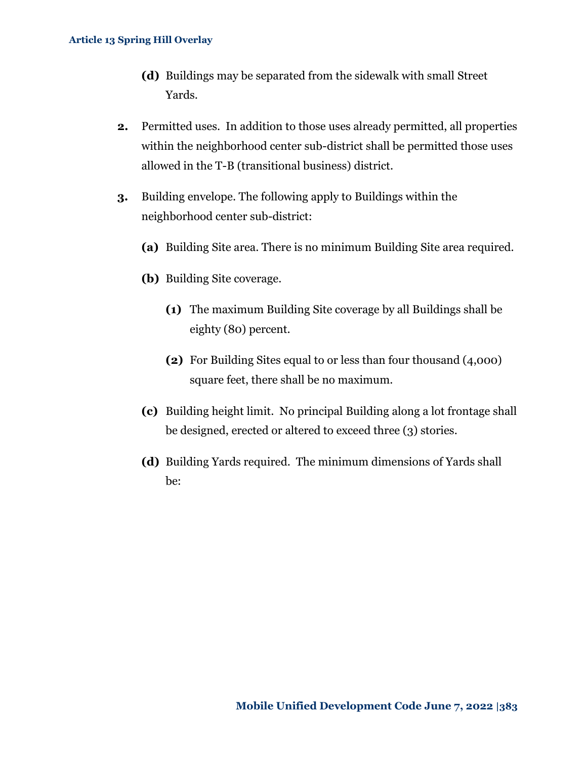- **(d)** Buildings may be separated from the sidewalk with small Street Yards.
- **2.** Permitted uses. In addition to those uses already permitted, all properties within the neighborhood center sub-district shall be permitted those uses allowed in the T-B (transitional business) district.
- **3.** Building envelope. The following apply to Buildings within the neighborhood center sub-district:
	- **(a)** Building Site area. There is no minimum Building Site area required.
	- **(b)** Building Site coverage.
		- **(1)** The maximum Building Site coverage by all Buildings shall be eighty (80) percent.
		- **(2)** For Building Sites equal to or less than four thousand (4,000) square feet, there shall be no maximum.
	- **(c)** Building height limit. No principal Building along a lot frontage shall be designed, erected or altered to exceed three (3) stories.
	- **(d)** Building Yards required. The minimum dimensions of Yards shall be: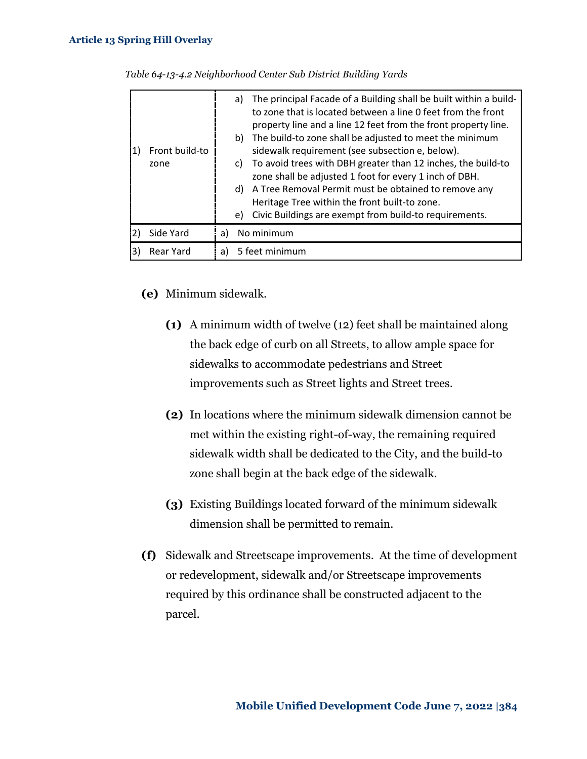|    | Front build-to<br>zone | The principal Facade of a Building shall be built within a build-<br>a)<br>to zone that is located between a line 0 feet from the front<br>property line and a line 12 feet from the front property line.<br>The build-to zone shall be adjusted to meet the minimum<br>b)<br>sidewalk requirement (see subsection e, below).<br>To avoid trees with DBH greater than 12 inches, the build-to<br>C)<br>zone shall be adjusted 1 foot for every 1 inch of DBH.<br>A Tree Removal Permit must be obtained to remove any<br>d)<br>Heritage Tree within the front built-to zone.<br>Civic Buildings are exempt from build-to requirements.<br>e) |
|----|------------------------|----------------------------------------------------------------------------------------------------------------------------------------------------------------------------------------------------------------------------------------------------------------------------------------------------------------------------------------------------------------------------------------------------------------------------------------------------------------------------------------------------------------------------------------------------------------------------------------------------------------------------------------------|
|    | Side Yard              | No minimum<br>a)                                                                                                                                                                                                                                                                                                                                                                                                                                                                                                                                                                                                                             |
| 31 | Rear Yard              | 5 feet minimum<br>a)                                                                                                                                                                                                                                                                                                                                                                                                                                                                                                                                                                                                                         |

*Table 64-13-4.2 Neighborhood Center Sub District Building Yards*

- **(e)** Minimum sidewalk.
	- **(1)** A minimum width of twelve (12) feet shall be maintained along the back edge of curb on all Streets, to allow ample space for sidewalks to accommodate pedestrians and Street improvements such as Street lights and Street trees.
	- **(2)** In locations where the minimum sidewalk dimension cannot be met within the existing right-of-way, the remaining required sidewalk width shall be dedicated to the City, and the build-to zone shall begin at the back edge of the sidewalk.
	- **(3)** Existing Buildings located forward of the minimum sidewalk dimension shall be permitted to remain.
- **(f)** Sidewalk and Streetscape improvements. At the time of development or redevelopment, sidewalk and/or Streetscape improvements required by this ordinance shall be constructed adjacent to the parcel.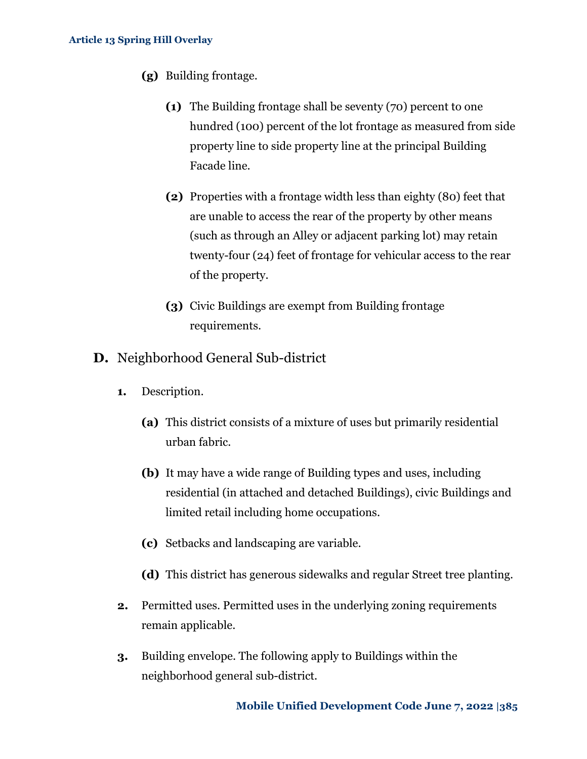- **(g)** Building frontage.
	- **(1)** The Building frontage shall be seventy (70) percent to one hundred (100) percent of the lot frontage as measured from side property line to side property line at the principal Building Facade line.
	- **(2)** Properties with a frontage width less than eighty (80) feet that are unable to access the rear of the property by other means (such as through an Alley or adjacent parking lot) may retain twenty-four (24) feet of frontage for vehicular access to the rear of the property.
	- **(3)** Civic Buildings are exempt from Building frontage requirements.
- **D.** Neighborhood General Sub-district
	- **1.** Description.
		- **(a)** This district consists of a mixture of uses but primarily residential urban fabric.
		- **(b)** It may have a wide range of Building types and uses, including residential (in attached and detached Buildings), civic Buildings and limited retail including home occupations.
		- **(c)** Setbacks and landscaping are variable.
		- **(d)** This district has generous sidewalks and regular Street tree planting.
	- **2.** Permitted uses. Permitted uses in the underlying zoning requirements remain applicable.
	- **3.** Building envelope. The following apply to Buildings within the neighborhood general sub-district.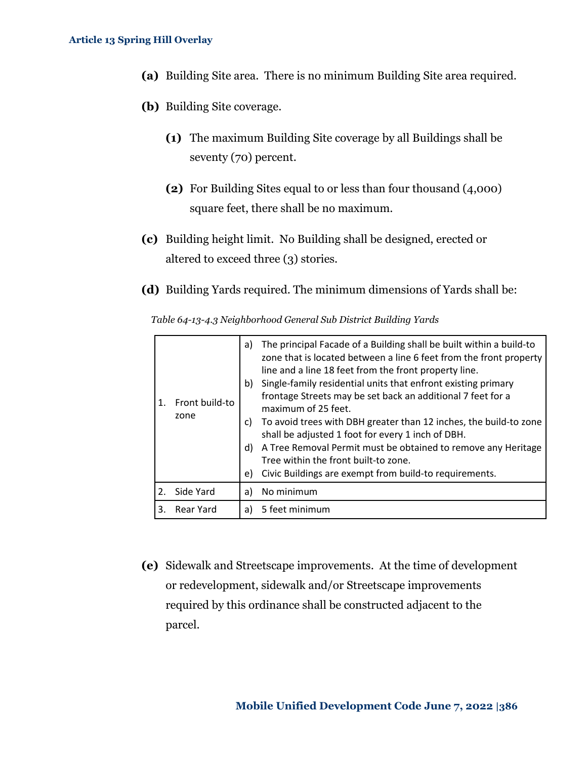- **(a)** Building Site area. There is no minimum Building Site area required.
- **(b)** Building Site coverage.
	- **(1)** The maximum Building Site coverage by all Buildings shall be seventy (70) percent.
	- **(2)** For Building Sites equal to or less than four thousand (4,000) square feet, there shall be no maximum.
- **(c)** Building height limit. No Building shall be designed, erected or altered to exceed three (3) stories.
- **(d)** Building Yards required. The minimum dimensions of Yards shall be:

*Table 64-13-4.3 Neighborhood General Sub District Building Yards*

| 1. | Front build-to<br>zone | a)<br>b)<br>C)<br>d)<br>e) | The principal Facade of a Building shall be built within a build-to<br>zone that is located between a line 6 feet from the front property<br>line and a line 18 feet from the front property line.<br>Single-family residential units that enfront existing primary<br>frontage Streets may be set back an additional 7 feet for a<br>maximum of 25 feet.<br>To avoid trees with DBH greater than 12 inches, the build-to zone<br>shall be adjusted 1 foot for every 1 inch of DBH.<br>A Tree Removal Permit must be obtained to remove any Heritage<br>Tree within the front built-to zone.<br>Civic Buildings are exempt from build-to requirements. |
|----|------------------------|----------------------------|--------------------------------------------------------------------------------------------------------------------------------------------------------------------------------------------------------------------------------------------------------------------------------------------------------------------------------------------------------------------------------------------------------------------------------------------------------------------------------------------------------------------------------------------------------------------------------------------------------------------------------------------------------|
| 2. | Side Yard              | a)                         | No minimum                                                                                                                                                                                                                                                                                                                                                                                                                                                                                                                                                                                                                                             |
| 3. | Rear Yard              | a)                         | 5 feet minimum                                                                                                                                                                                                                                                                                                                                                                                                                                                                                                                                                                                                                                         |

**(e)** Sidewalk and Streetscape improvements. At the time of development or redevelopment, sidewalk and/or Streetscape improvements required by this ordinance shall be constructed adjacent to the parcel.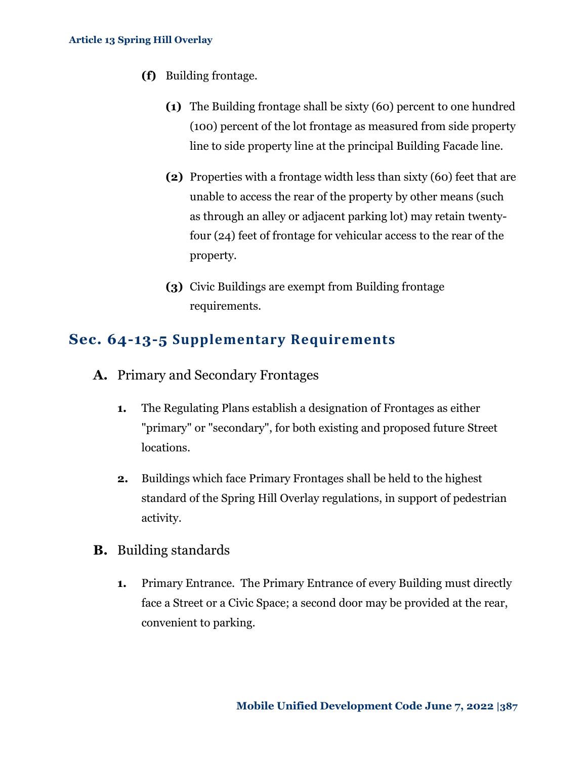- **(f)** Building frontage.
	- **(1)** The Building frontage shall be sixty (60) percent to one hundred (100) percent of the lot frontage as measured from side property line to side property line at the principal Building Facade line.
	- **(2)** Properties with a frontage width less than sixty (60) feet that are unable to access the rear of the property by other means (such as through an alley or adjacent parking lot) may retain twentyfour (24) feet of frontage for vehicular access to the rear of the property.
	- **(3)** Civic Buildings are exempt from Building frontage requirements.

### <span id="page-11-0"></span>**Sec. 64-13-5 Supplementary Requirements**

- **A.** Primary and Secondary Frontages
	- **1.** The Regulating Plans establish a designation of Frontages as either "primary" or "secondary", for both existing and proposed future Street locations.
	- **2.** Buildings which face Primary Frontages shall be held to the highest standard of the Spring Hill Overlay regulations, in support of pedestrian activity.
- **B.** Building standards
	- **1.** Primary Entrance. The Primary Entrance of every Building must directly face a Street or a Civic Space; a second door may be provided at the rear, convenient to parking.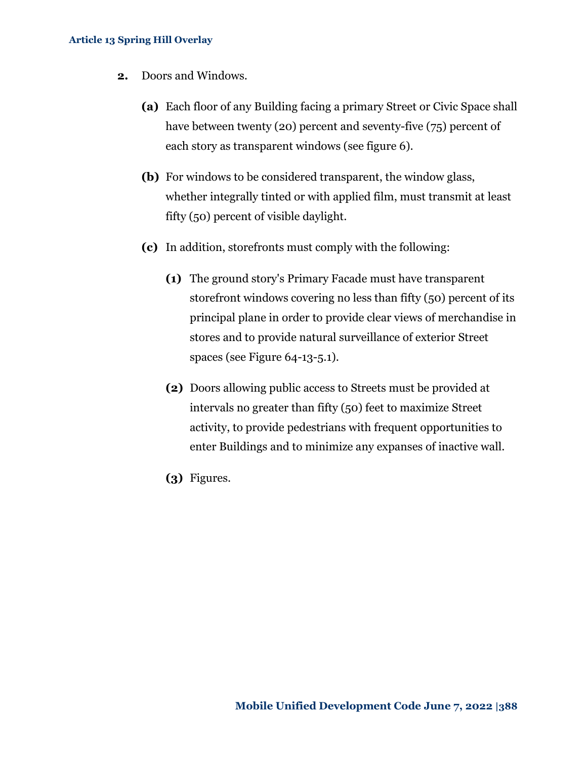- <span id="page-12-1"></span><span id="page-12-0"></span>**2.** Doors and Windows.
	- **(a)** Each floor of any Building facing a primary Street or Civic Space shall have between twenty (20) percent and seventy-five (75) percent of each story as transparent windows (see figure 6).
	- **(b)** For windows to be considered transparent, the window glass, whether integrally tinted or with applied film, must transmit at least fifty (50) percent of visible daylight.
	- **(c)** In addition, storefronts must comply with the following:
		- **(1)** The ground story's Primary Facade must have transparent storefront windows covering no less than fifty (50) percent of its principal plane in order to provide clear views of merchandise in stores and to provide natural surveillance of exterior Street spaces (see Figure 64-13-5.1).
		- **(2)** Doors allowing public access to Streets must be provided at intervals no greater than fifty (50) feet to maximize Street activity, to provide pedestrians with frequent opportunities to enter Buildings and to minimize any expanses of inactive wall.
		- **(3)** Figures.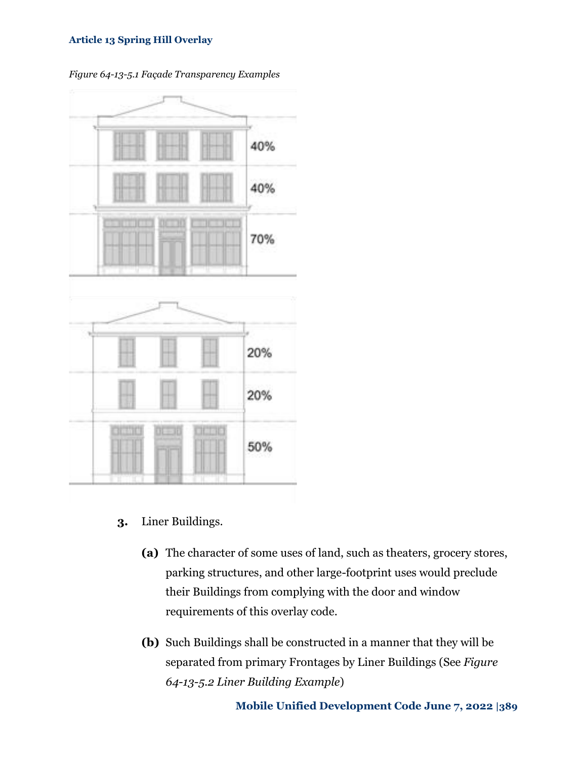

*Figure 64-13-5.1 Façade Transparency Examples*

- **3.** Liner Buildings.
	- **(a)** The character of some uses of land, such as theaters, grocery stores, parking structures, and other large-footprint uses would preclude their Buildings from complying with the door and window requirements of this overlay code.
	- **(b)** Such Buildings shall be constructed in a manner that they will be separated from primary Frontages by Liner Buildings (See *Figure 64-13-5.2 Liner Building Example*)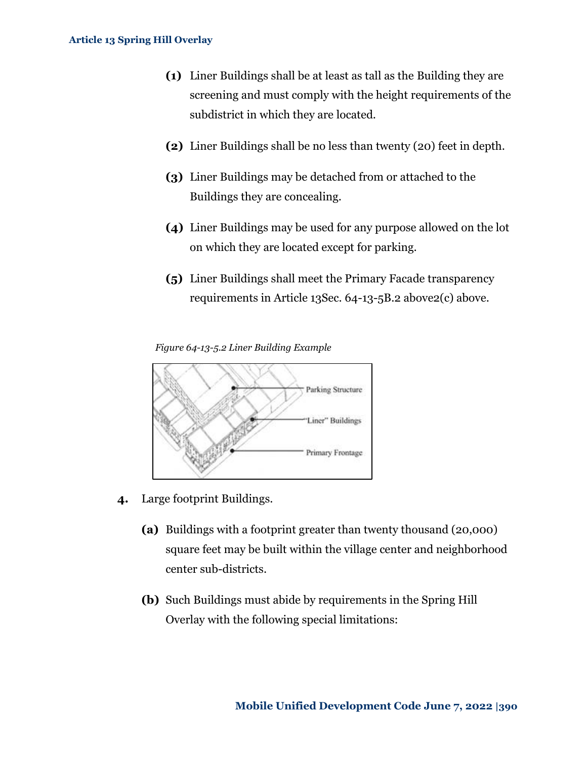- **(1)** Liner Buildings shall be at least as tall as the Building they are screening and must comply with the height requirements of the subdistrict in which they are located.
- **(2)** Liner Buildings shall be no less than twenty (20) feet in depth.
- **(3)** Liner Buildings may be detached from or attached to the Buildings they are concealing.
- **(4)** Liner Buildings may be used for any purpose allowed on the lot on which they are located except for parking.
- **(5)** Liner Buildings shall meet the Primary Facade transparency requirements in [Article 13Sec. 64-13-5B.2 above](#page-12-0)[2\(c\) above.](#page-12-1)

*Figure 64-13-5.2 Liner Building Example*



- **4.** Large footprint Buildings.
	- **(a)** Buildings with a footprint greater than twenty thousand (20,000) square feet may be built within the village center and neighborhood center sub-districts.
	- **(b)** Such Buildings must abide by requirements in the Spring Hill Overlay with the following special limitations: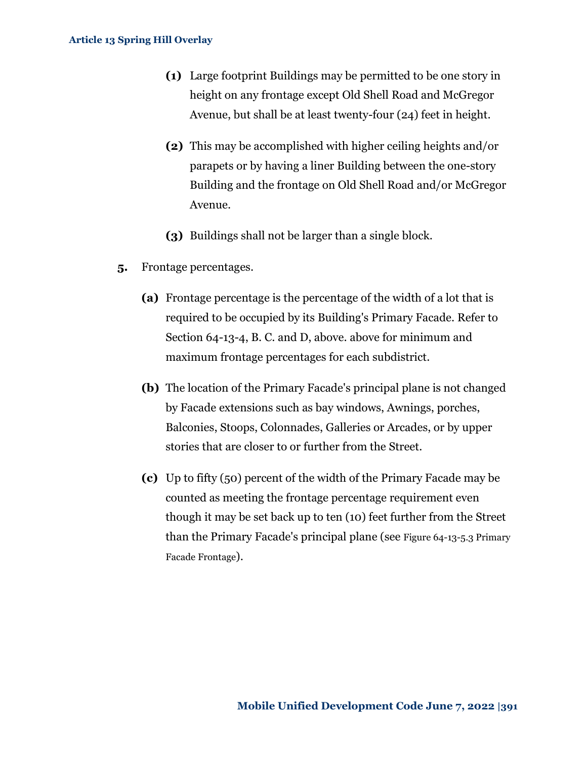- **(1)** Large footprint Buildings may be permitted to be one story in height on any frontage except Old Shell Road and McGregor Avenue, but shall be at least twenty-four (24) feet in height.
- **(2)** This may be accomplished with higher ceiling heights and/or parapets or by having a liner Building between the one-story Building and the frontage on Old Shell Road and/or McGregor Avenue.
- **(3)** Buildings shall not be larger than a single block.
- **5.** Frontage percentages.
	- **(a)** Frontage percentage is the percentage of the width of a lot that is required to be occupied by its Building's Primary Facade. Refer to Section 64-13-4, B. C. and D, above. above for minimum and maximum frontage percentages for each subdistrict.
	- **(b)** The location of the Primary Facade's principal plane is not changed by Facade extensions such as bay windows, Awnings, porches, Balconies, Stoops, Colonnades, Galleries or Arcades, or by upper stories that are closer to or further from the Street.
	- **(c)** Up to fifty (50) percent of the width of the Primary Facade may be counted as meeting the frontage percentage requirement even though it may be set back up to ten (10) feet further from the Street than the Primary Facade's principal plane (see [Figure 64-13-5.3](#page-16-0) Primary Facade [Frontage](#page-16-0)).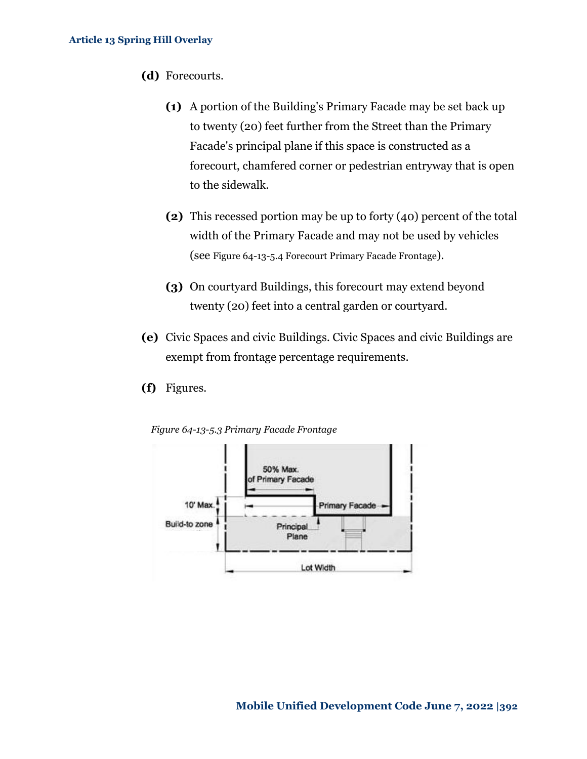- **(d)** Forecourts*.*
	- **(1)** A portion of the Building's Primary Facade may be set back up to twenty (20) feet further from the Street than the Primary Facade's principal plane if this space is constructed as a forecourt, chamfered corner or pedestrian entryway that is open to the sidewalk.
	- **(2)** This recessed portion may be up to forty (40) percent of the total width of the Primary Facade and may not be used by vehicles (see Figure 64-13-5.4 [Forecourt Primary Facade](#page-17-0) Frontage).
	- **(3)** On courtyard Buildings, this forecourt may extend beyond twenty (20) feet into a central garden or courtyard.
- **(e)** Civic Spaces and civic Buildings. Civic Spaces and civic Buildings are exempt from frontage percentage requirements.
- **(f)** Figures*.*

<span id="page-16-0"></span>*Figure 64-13-5.3 Primary Facade Frontage*

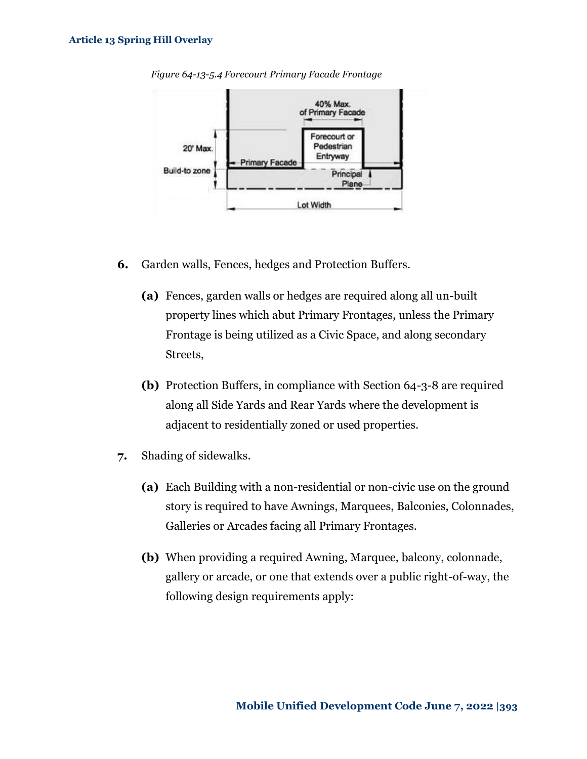

<span id="page-17-0"></span>*Figure 64-13-5.4 Forecourt Primary Facade Frontage*

- **6.** Garden walls, Fences, hedges and Protection Buffers.
	- **(a)** Fences, garden walls or hedges are required along all un-built property lines which abut Primary Frontages, unless the Primary Frontage is being utilized as a Civic Space, and along secondary Streets,
	- **(b)** Protection Buffers, in compliance with Section 64-3-8 are required along all Side Yards and Rear Yards where the development is adjacent to residentially zoned or used properties.
- **7.** Shading of sidewalks.
	- **(a)** Each Building with a non-residential or non-civic use on the ground story is required to have Awnings, Marquees, Balconies, Colonnades, Galleries or Arcades facing all Primary Frontages.
	- **(b)** When providing a required Awning, Marquee, balcony, colonnade, gallery or arcade, or one that extends over a public right-of-way, the following design requirements apply: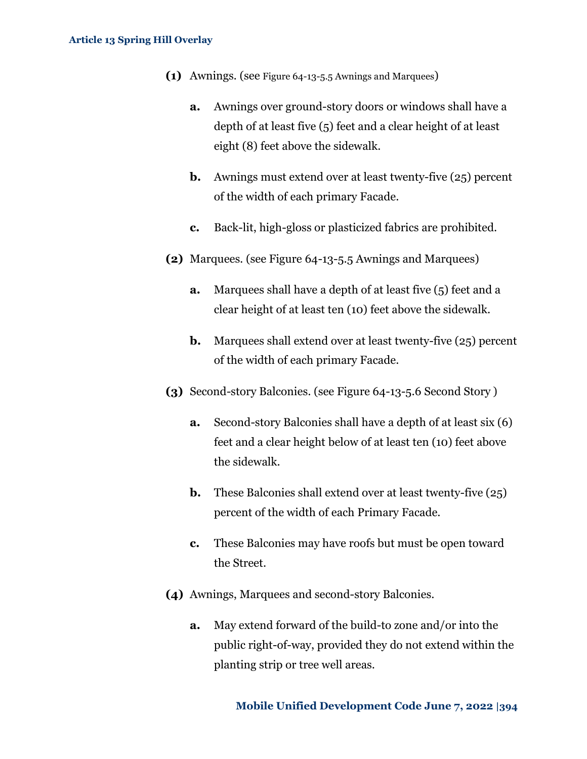- **(1)** Awnings*.* (see Figure 64-13-5.5 [Awnings and Marquees](#page-19-0))
	- **a.** Awnings over ground-story doors or windows shall have a depth of at least five (5) feet and a clear height of at least eight (8) feet above the sidewalk.
	- **b.** Awnings must extend over at least twenty-five (25) percent of the width of each primary Facade.
	- **c.** Back-lit, high-gloss or plasticized fabrics are prohibited.
- **(2)** Marquees*.* (see Figure 64-13-5.5 [Awnings and Marquees\)](#page-19-0)
	- **a.** Marquees shall have a depth of at least five (5) feet and a clear height of at least ten (10) feet above the sidewalk.
	- **b.** Marquees shall extend over at least twenty-five (25) percent of the width of each primary Facade.
- **(3)** Second*-*story Balconies*.* (see [Figure 64-13-5.6](#page-20-0) Second Story [\)](#page-20-0)
	- **a.** Second-story Balconies shall have a depth of at least six (6) feet and a clear height below of at least ten (10) feet above the sidewalk.
	- **b.** These Balconies shall extend over at least twenty-five (25) percent of the width of each Primary Facade.
	- **c.** These Balconies may have roofs but must be open toward the Street.
- **(4)** Awnings, Marquees and second-story Balconies.
	- **a.** May extend forward of the build-to zone and/or into the public right-of-way, provided they do not extend within the planting strip or tree well areas.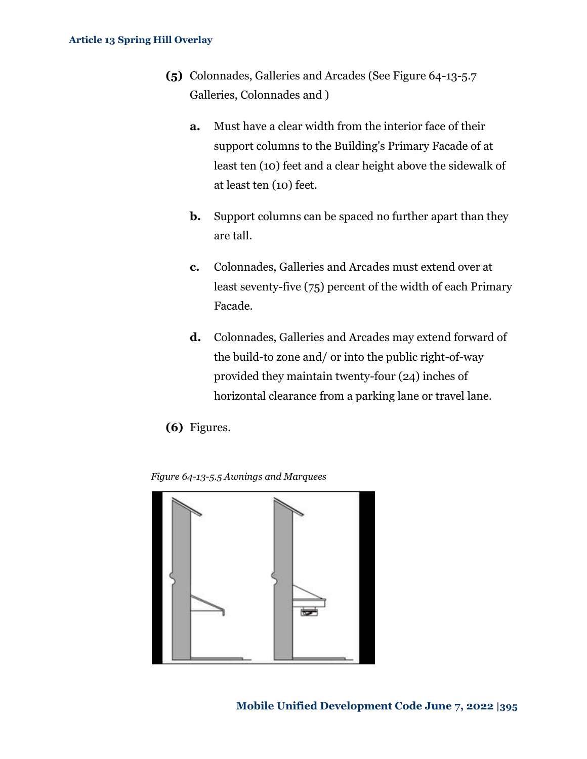- **(5)** Colonnades, Galleries and Arcades (See [Figure 64-13-5.7](#page-20-1) [Galleries, Colonnades](#page-20-1) and )
	- **a.** Must have a clear width from the interior face of their support columns to the Building's Primary Facade of at least ten (10) feet and a clear height above the sidewalk of at least ten (10) feet.
	- **b.** Support columns can be spaced no further apart than they are tall.
	- **c.** Colonnades, Galleries and Arcades must extend over at least seventy-five (75) percent of the width of each Primary Facade.
	- **d.** Colonnades, Galleries and Arcades may extend forward of the build-to zone and/ or into the public right-of-way provided they maintain twenty-four (24) inches of horizontal clearance from a parking lane or travel lane.
- **(6)** Figures.

<span id="page-19-0"></span>*Figure 64-13-5.5 Awnings and Marquees*

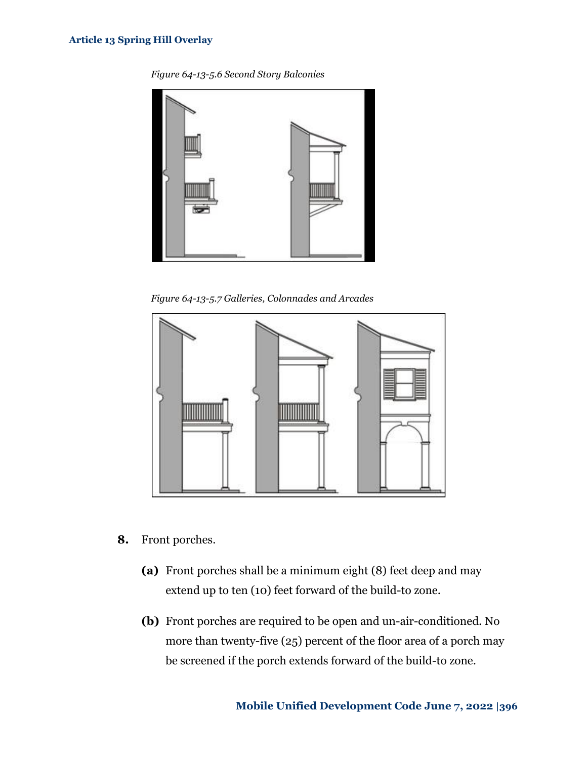*Figure 64-13-5.6 Second Story Balconies*

<span id="page-20-0"></span>

*Figure 64-13-5.7 Galleries, Colonnades and Arcades*

<span id="page-20-1"></span>

- **8.** Front porches.
	- **(a)** Front porches shall be a minimum eight (8) feet deep and may extend up to ten (10) feet forward of the build-to zone.
	- **(b)** Front porches are required to be open and un-air-conditioned. No more than twenty-five (25) percent of the floor area of a porch may be screened if the porch extends forward of the build-to zone.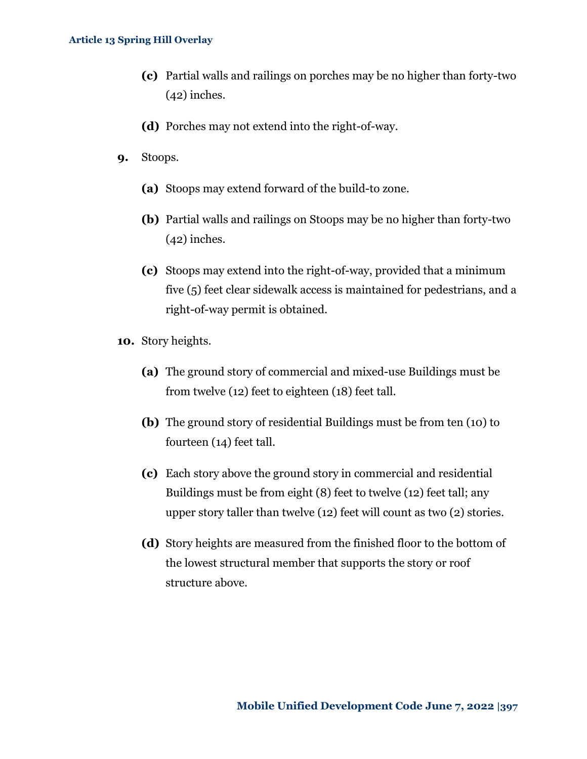- **(c)** Partial walls and railings on porches may be no higher than forty-two (42) inches.
- **(d)** Porches may not extend into the right-of-way.
- **9.** Stoops.
	- **(a)** Stoops may extend forward of the build-to zone.
	- **(b)** Partial walls and railings on Stoops may be no higher than forty-two (42) inches.
	- **(c)** Stoops may extend into the right-of-way, provided that a minimum five (5) feet clear sidewalk access is maintained for pedestrians, and a right-of-way permit is obtained.
- **10.** Story heights.
	- **(a)** The ground story of commercial and mixed-use Buildings must be from twelve (12) feet to eighteen (18) feet tall.
	- **(b)** The ground story of residential Buildings must be from ten (10) to fourteen (14) feet tall.
	- **(c)** Each story above the ground story in commercial and residential Buildings must be from eight (8) feet to twelve (12) feet tall; any upper story taller than twelve (12) feet will count as two (2) stories.
	- **(d)** Story heights are measured from the finished floor to the bottom of the lowest structural member that supports the story or roof structure above.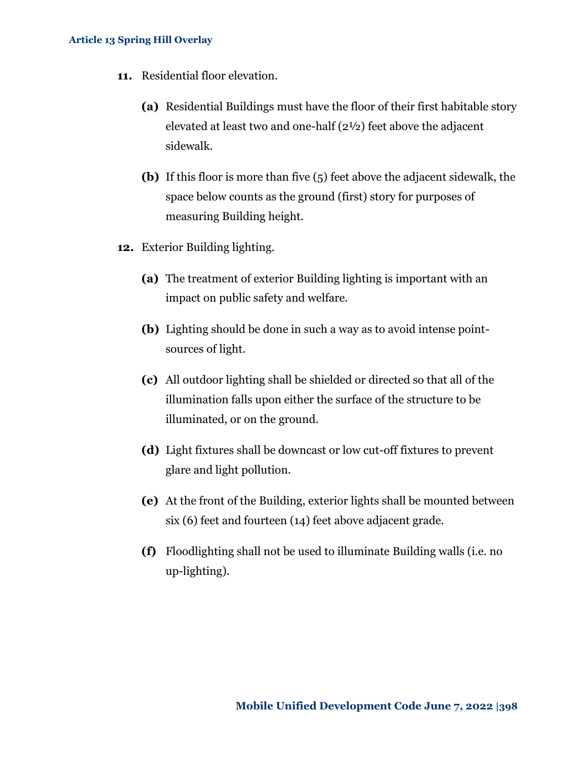- **11.** Residential floor elevation.
	- **(a)** Residential Buildings must have the floor of their first habitable story elevated at least two and one-half (2½) feet above the adjacent sidewalk.
	- **(b)** If this floor is more than five (5) feet above the adjacent sidewalk, the space below counts as the ground (first) story for purposes of measuring Building height.
- **12.** Exterior Building lighting.
	- **(a)** The treatment of exterior Building lighting is important with an impact on public safety and welfare.
	- **(b)** Lighting should be done in such a way as to avoid intense pointsources of light.
	- **(c)** All outdoor lighting shall be shielded or directed so that all of the illumination falls upon either the surface of the structure to be illuminated, or on the ground.
	- **(d)** Light fixtures shall be downcast or low cut-off fixtures to prevent glare and light pollution.
	- **(e)** At the front of the Building, exterior lights shall be mounted between six (6) feet and fourteen (14) feet above adjacent grade.
	- **(f)** Floodlighting shall not be used to illuminate Building walls (i.e. no up-lighting).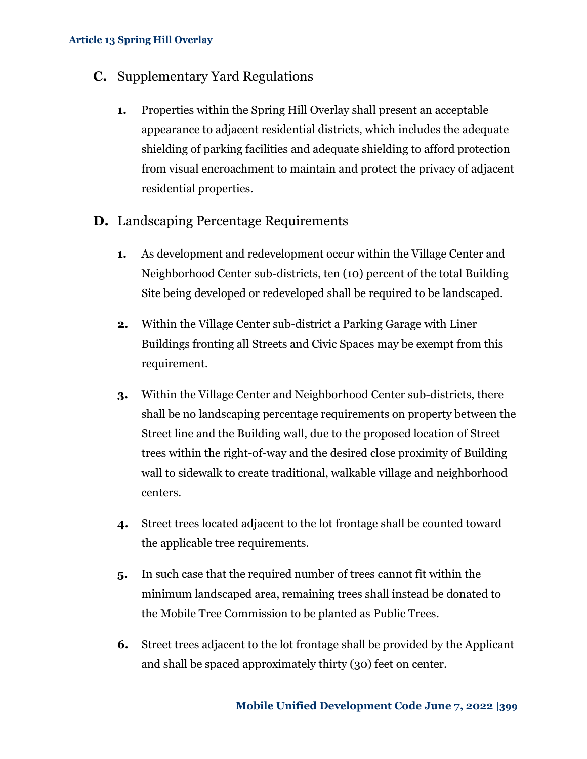### **C.** Supplementary Yard Regulations

- **1.** Properties within the Spring Hill Overlay shall present an acceptable appearance to adjacent residential districts, which includes the adequate shielding of parking facilities and adequate shielding to afford protection from visual encroachment to maintain and protect the privacy of adjacent residential properties.
- **D.** Landscaping Percentage Requirements
	- **1.** As development and redevelopment occur within the Village Center and Neighborhood Center sub-districts, ten (10) percent of the total Building Site being developed or redeveloped shall be required to be landscaped.
	- **2.** Within the Village Center sub-district a Parking Garage with Liner Buildings fronting all Streets and Civic Spaces may be exempt from this requirement.
	- **3.** Within the Village Center and Neighborhood Center sub-districts, there shall be no landscaping percentage requirements on property between the Street line and the Building wall, due to the proposed location of Street trees within the right-of-way and the desired close proximity of Building wall to sidewalk to create traditional, walkable village and neighborhood centers.
	- **4.** Street trees located adjacent to the lot frontage shall be counted toward the applicable tree requirements.
	- **5.** In such case that the required number of trees cannot fit within the minimum landscaped area, remaining trees shall instead be donated to the Mobile Tree Commission to be planted as Public Trees.
	- **6.** Street trees adjacent to the lot frontage shall be provided by the Applicant and shall be spaced approximately thirty (30) feet on center.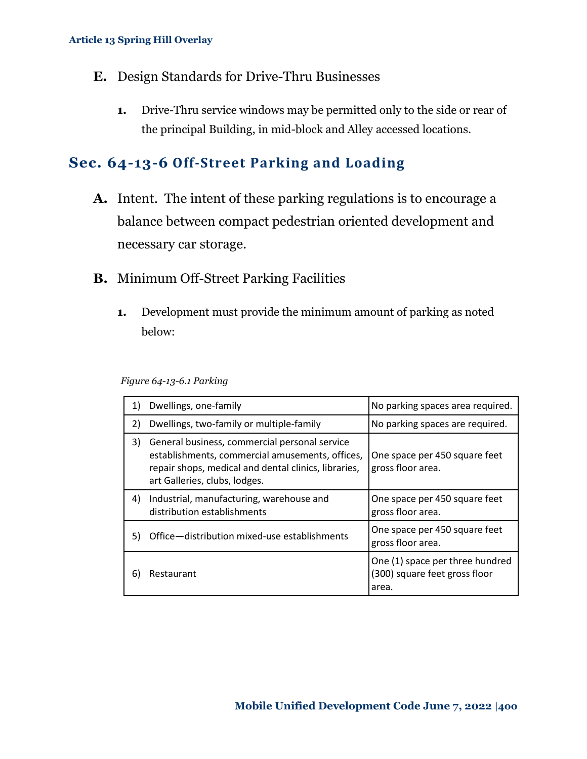- **E.** Design Standards for Drive-Thru Businesses
	- **1.** Drive-Thru service windows may be permitted only to the side or rear of the principal Building, in mid-block and Alley accessed locations.

# <span id="page-24-0"></span>**Sec. 64-13-6 Off-Street Parking and Loading**

- **A.** Intent. The intent of these parking regulations is to encourage a balance between compact pedestrian oriented development and necessary car storage.
- **B.** Minimum Off-Street Parking Facilities
	- **1.** Development must provide the minimum amount of parking as noted below:

*Figure 64-13-6.1 Parking*

| 1) | Dwellings, one-family                                                                                                                                                                     | No parking spaces area required.                                          |
|----|-------------------------------------------------------------------------------------------------------------------------------------------------------------------------------------------|---------------------------------------------------------------------------|
| 2) | Dwellings, two-family or multiple-family                                                                                                                                                  | No parking spaces are required.                                           |
| 3) | General business, commercial personal service<br>establishments, commercial amusements, offices,<br>repair shops, medical and dental clinics, libraries,<br>art Galleries, clubs, lodges. | One space per 450 square feet<br>gross floor area.                        |
| 4) | Industrial, manufacturing, warehouse and<br>distribution establishments                                                                                                                   | One space per 450 square feet<br>gross floor area.                        |
| 5) | Office-distribution mixed-use establishments                                                                                                                                              | One space per 450 square feet<br>gross floor area.                        |
| 6) | Restaurant                                                                                                                                                                                | One (1) space per three hundred<br>(300) square feet gross floor<br>area. |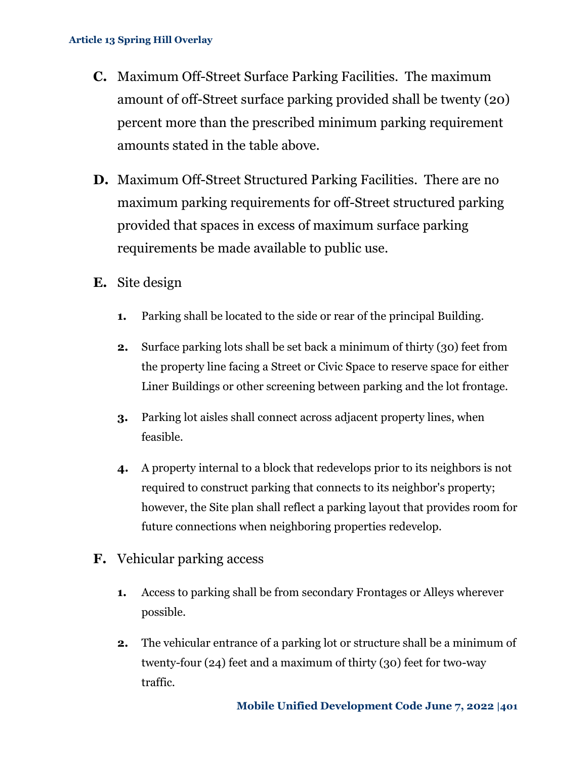- **C.** Maximum Off-Street Surface Parking Facilities. The maximum amount of off-Street surface parking provided shall be twenty (20) percent more than the prescribed minimum parking requirement amounts stated in the table above.
- **D.** Maximum Off-Street Structured Parking Facilities. There are no maximum parking requirements for off-Street structured parking provided that spaces in excess of maximum surface parking requirements be made available to public use.
- **E.** Site design
	- **1.** Parking shall be located to the side or rear of the principal Building.
	- **2.** Surface parking lots shall be set back a minimum of thirty (30) feet from the property line facing a Street or Civic Space to reserve space for either Liner Buildings or other screening between parking and the lot frontage.
	- **3.** Parking lot aisles shall connect across adjacent property lines, when feasible.
	- **4.** A property internal to a block that redevelops prior to its neighbors is not required to construct parking that connects to its neighbor's property; however, the Site plan shall reflect a parking layout that provides room for future connections when neighboring properties redevelop.
- **F.** Vehicular parking access
	- **1.** Access to parking shall be from secondary Frontages or Alleys wherever possible.
	- **2.** The vehicular entrance of a parking lot or structure shall be a minimum of twenty-four (24) feet and a maximum of thirty (30) feet for two-way traffic.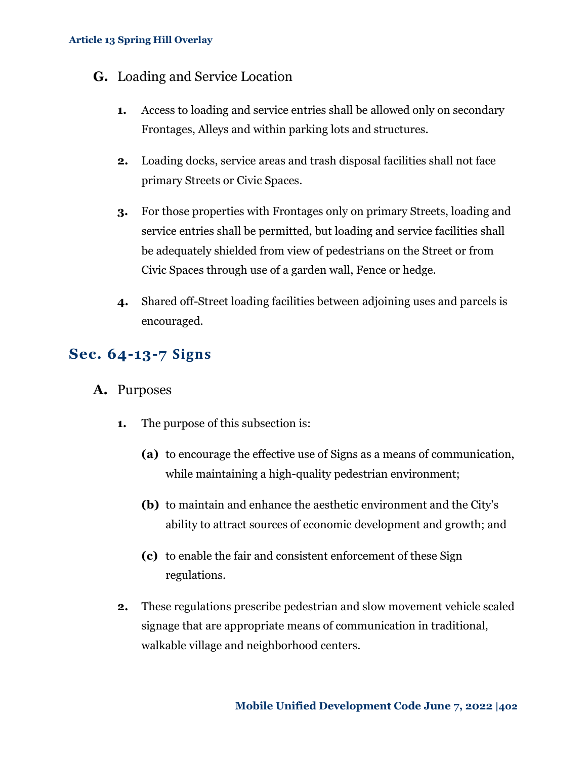### **G.** Loading and Service Location

- **1.** Access to loading and service entries shall be allowed only on secondary Frontages, Alleys and within parking lots and structures.
- **2.** Loading docks, service areas and trash disposal facilities shall not face primary Streets or Civic Spaces.
- **3.** For those properties with Frontages only on primary Streets, loading and service entries shall be permitted, but loading and service facilities shall be adequately shielded from view of pedestrians on the Street or from Civic Spaces through use of a garden wall, Fence or hedge.
- **4.** Shared off-Street loading facilities between adjoining uses and parcels is encouraged.

# <span id="page-26-0"></span>**Sec. 64-13-7 Signs**

- **A.** Purposes
	- **1.** The purpose of this subsection is:
		- **(a)** to encourage the effective use of Signs as a means of communication, while maintaining a high-quality pedestrian environment;
		- **(b)** to maintain and enhance the aesthetic environment and the City's ability to attract sources of economic development and growth; and
		- **(c)** to enable the fair and consistent enforcement of these Sign regulations.
	- **2.** These regulations prescribe pedestrian and slow movement vehicle scaled signage that are appropriate means of communication in traditional, walkable village and neighborhood centers.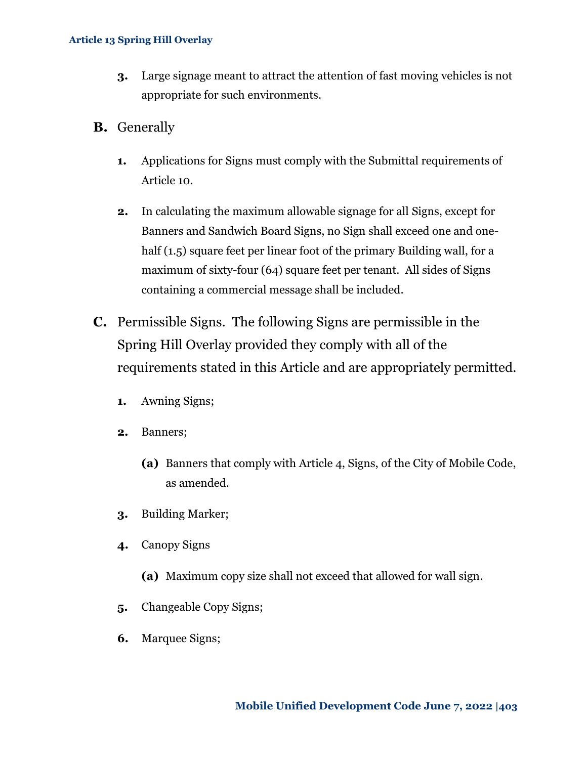- **3.** Large signage meant to attract the attention of fast moving vehicles is not appropriate for such environments.
- **B.** Generally
	- **1.** Applications for Signs must comply with the Submittal requirements of Article 10.
	- **2.** In calculating the maximum allowable signage for all Signs, except for Banners and Sandwich Board Signs, no Sign shall exceed one and onehalf (1.5) square feet per linear foot of the primary Building wall, for a maximum of sixty-four (64) square feet per tenant. All sides of Signs containing a commercial message shall be included.
- **C.** Permissible Signs. The following Signs are permissible in the Spring Hill Overlay provided they comply with all of the requirements stated in this Article and are appropriately permitted.
	- **1.** Awning Signs;
	- **2.** Banners;
		- **(a)** Banners that comply with Article 4, Signs, of the City of Mobile Code, as amended.
	- **3.** Building Marker;
	- **4.** Canopy Signs
		- **(a)** Maximum copy size shall not exceed that allowed for wall sign.
	- **5.** Changeable Copy Signs;
	- **6.** Marquee Signs;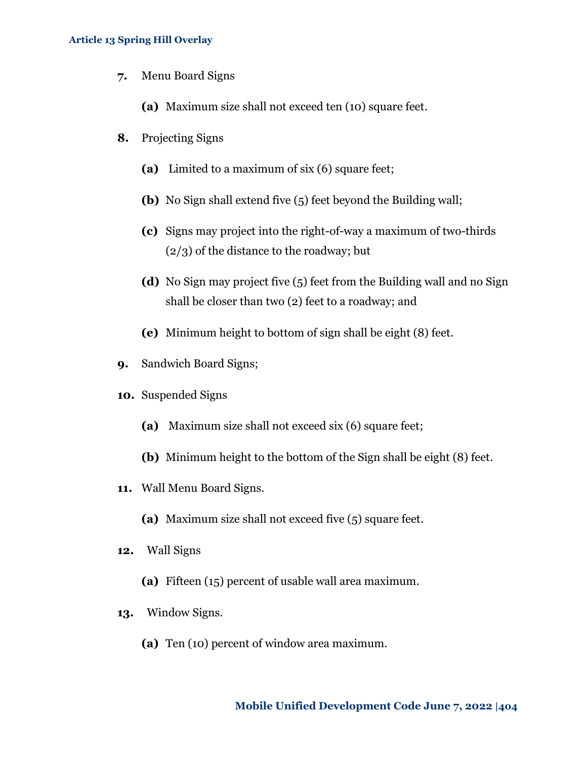**7.** Menu Board Signs

**(a)** Maximum size shall not exceed ten (10) square feet.

- **8.** Projecting Signs
	- **(a)** Limited to a maximum of six (6) square feet;
	- **(b)** No Sign shall extend five (5) feet beyond the Building wall;
	- **(c)** Signs may project into the right-of-way a maximum of two-thirds (2/3) of the distance to the roadway; but
	- **(d)** No Sign may project five (5) feet from the Building wall and no Sign shall be closer than two (2) feet to a roadway; and
	- **(e)** Minimum height to bottom of sign shall be eight (8) feet.
- **9.** Sandwich Board Signs;
- **10.** Suspended Signs
	- **(a)** Maximum size shall not exceed six (6) square feet;
	- **(b)** Minimum height to the bottom of the Sign shall be eight (8) feet.
- **11.** Wall Menu Board Signs.
	- **(a)** Maximum size shall not exceed five (5) square feet.
- **12.** Wall Signs
	- **(a)** Fifteen (15) percent of usable wall area maximum.
- **13.** Window Signs.
	- **(a)** Ten (10) percent of window area maximum.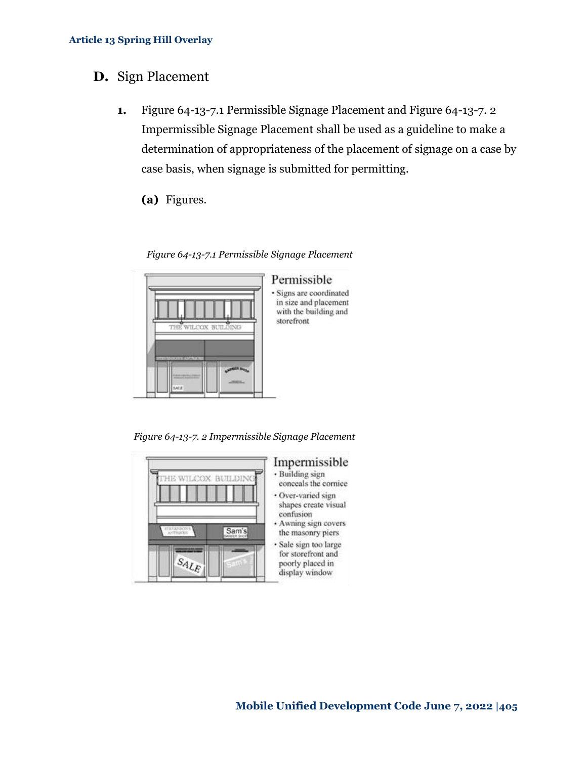### **D.** Sign Placement

- **1.** Figure 64-13-7.1 [Permissible Signage Placement](#page-29-0) and [Figure 64-13-7. 2](#page-29-1) [Impermissible Signage Placement](#page-29-1) shall be used as a guideline to make a determination of appropriateness of the placement of signage on a case by case basis, when signage is submitted for permitting.
	- **(a)** Figures.

<span id="page-29-0"></span>THE WILCOX BUILDING uir

*Figure 64-13-7.1 Permissible Signage Placement*

### Permissible

· Signs are coordinated in size and placement with the building and storefront

<span id="page-29-1"></span>*Figure 64-13-7. 2 Impermissible Signage Placement*



### Impermissible

- · Building sign conceals the cornice
- · Over-varied sign shapes create visual confusion
- · Awning sign covers the masonry piers
- · Sale sign too large for storefront and poorly placed in display window